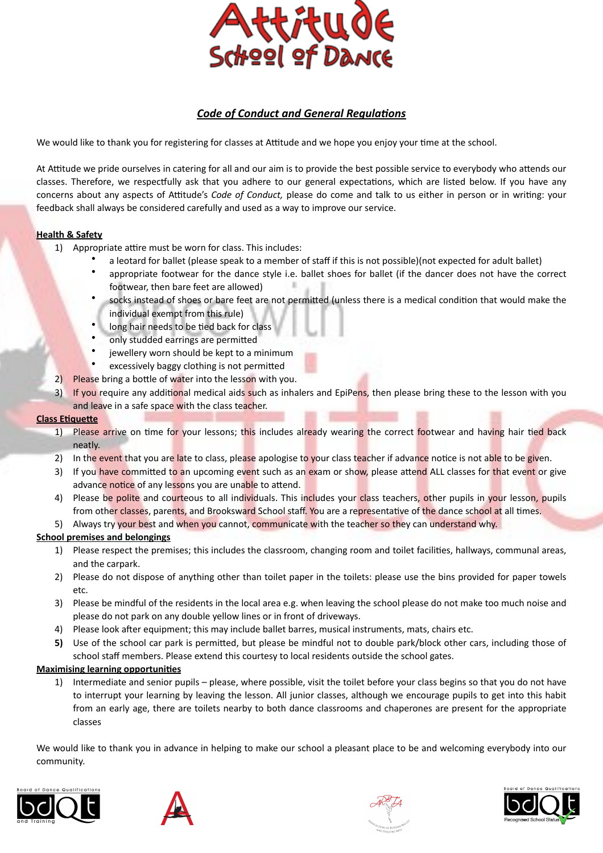

# **Code of Conduct and General Regulations**

We would like to thank you for registering for classes at Attitude and we hope you enjoy your time at the school.

At Attitude we pride ourselves in catering for all and our aim is to provide the best possible service to everybody who attends our classes. Therefore, we respectfully ask that you adhere to our general expectations, which are listed below. If you have any concerns about any aspects of Attitude's *Code of Conduct*, please do come and talk to us either in person or in writing: your feedback shall always be considered carefully and used as a way to improve our service.

## **Health & Safety**

- 1) Appropriate attire must be worn for class. This includes:
	- a leotard for ballet (please speak to a member of staff if this is not possible)(not expected for adult ballet)
	- appropriate footwear for the dance style i.e. ballet shoes for ballet (if the dancer does not have the correct footwear, then bare feet are allowed)
	- socks instead of shoes or bare feet are not permitted (unless there is a medical condition that would make the individual exempt from this rule)
	- long hair needs to be tied back for class
	- only studded earrings are permitted
	- jewellery worn should be kept to a minimum
	- excessively baggy clothing is not permitted
- 2) Please bring a bottle of water into the lesson with you.
- 3) If you require any additional medical aids such as inhalers and EpiPens, then please bring these to the lesson with you and leave in a safe space with the class teacher.

## **Class Etiquette**

- 1) Please arrive on time for your lessons; this includes already wearing the correct footwear and having hair tied back neatly.
- 2) In the event that you are late to class, please apologise to your class teacher if advance notice is not able to be given.
- 3) If you have committed to an upcoming event such as an exam or show, please attend ALL classes for that event or give advance notice of any lessons you are unable to attend.
- 4) Please be polite and courteous to all individuals. This includes your class teachers, other pupils in your lesson, pupils from other classes, parents, and Brooksward School staff. You are a representative of the dance school at all times.
- 5) Always try your best and when you cannot, communicate with the teacher so they can understand why.

## **School premises and belongings**

- 1) Please respect the premises; this includes the classroom, changing room and toilet facilities, hallways, communal areas, and the carpark.
- 2) Please do not dispose of anything other than toilet paper in the toilets: please use the bins provided for paper towels etc.
- 3) Please be mindful of the residents in the local area e.g. when leaving the school please do not make too much noise and please do not park on any double yellow lines or in front of driveways.
- 4) Please look after equipment; this may include ballet barres, musical instruments, mats, chairs etc.
- **5)** Use of the school car park is permitted, but please be mindful not to double park/block other cars, including those of school staff members. Please extend this courtesy to local residents outside the school gates.

## **Maximising learning opportunities**

1) Intermediate and senior pupils – please, where possible, visit the toilet before your class begins so that you do not have to interrupt your learning by leaving the lesson. All junior classes, although we encourage pupils to get into this habit from an early age, there are toilets nearby to both dance classrooms and chaperones are present for the appropriate classes

We would like to thank you in advance in helping to make our school a pleasant place to be and welcoming everybody into our community.